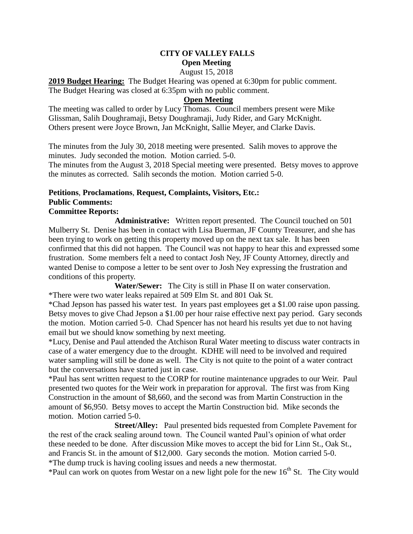# **CITY OF VALLEY FALLS Open Meeting**

#### August 15, 2018

**2019 Budget Hearing:** The Budget Hearing was opened at 6:30pm for public comment. The Budget Hearing was closed at 6:35pm with no public comment.

## **Open Meeting**

The meeting was called to order by Lucy Thomas. Council members present were Mike Glissman, Salih Doughramaji, Betsy Doughramaji, Judy Rider, and Gary McKnight. Others present were Joyce Brown, Jan McKnight, Sallie Meyer, and Clarke Davis.

The minutes from the July 30, 2018 meeting were presented. Salih moves to approve the minutes. Judy seconded the motion. Motion carried. 5-0.

The minutes from the August 3, 2018 Special meeting were presented. Betsy moves to approve the minutes as corrected. Salih seconds the motion. Motion carried 5-0.

### **Petitions**, **Proclamations**, **Request, Complaints, Visitors, Etc.: Public Comments: Committee Reports:**

**Administrative:** Written report presented. The Council touched on 501 Mulberry St. Denise has been in contact with Lisa Buerman, JF County Treasurer, and she has been trying to work on getting this property moved up on the next tax sale. It has been confirmed that this did not happen. The Council was not happy to hear this and expressed some frustration. Some members felt a need to contact Josh Ney, JF County Attorney, directly and wanted Denise to compose a letter to be sent over to Josh Ney expressing the frustration and conditions of this property.

 **Water/Sewer:** The City is still in Phase II on water conservation. \*There were two water leaks repaired at 509 Elm St. and 801 Oak St.

\*Chad Jepson has passed his water test. In years past employees get a \$1.00 raise upon passing. Betsy moves to give Chad Jepson a \$1.00 per hour raise effective next pay period. Gary seconds the motion. Motion carried 5-0. Chad Spencer has not heard his results yet due to not having email but we should know something by next meeting.

\*Lucy, Denise and Paul attended the Atchison Rural Water meeting to discuss water contracts in case of a water emergency due to the drought. KDHE will need to be involved and required water sampling will still be done as well. The City is not quite to the point of a water contract but the conversations have started just in case.

\*Paul has sent written request to the CORP for routine maintenance upgrades to our Weir. Paul presented two quotes for the Weir work in preparation for approval. The first was from King Construction in the amount of \$8,660, and the second was from Martin Construction in the amount of \$6,950. Betsy moves to accept the Martin Construction bid. Mike seconds the motion. Motion carried 5-0.

 **Street/Alley:** Paul presented bids requested from Complete Pavement for the rest of the crack sealing around town. The Council wanted Paul's opinion of what order these needed to be done. After discussion Mike moves to accept the bid for Linn St., Oak St., and Francis St. in the amount of \$12,000. Gary seconds the motion. Motion carried 5-0. \*The dump truck is having cooling issues and needs a new thermostat.

\*Paul can work on quotes from Westar on a new light pole for the new  $16<sup>th</sup>$  St. The City would